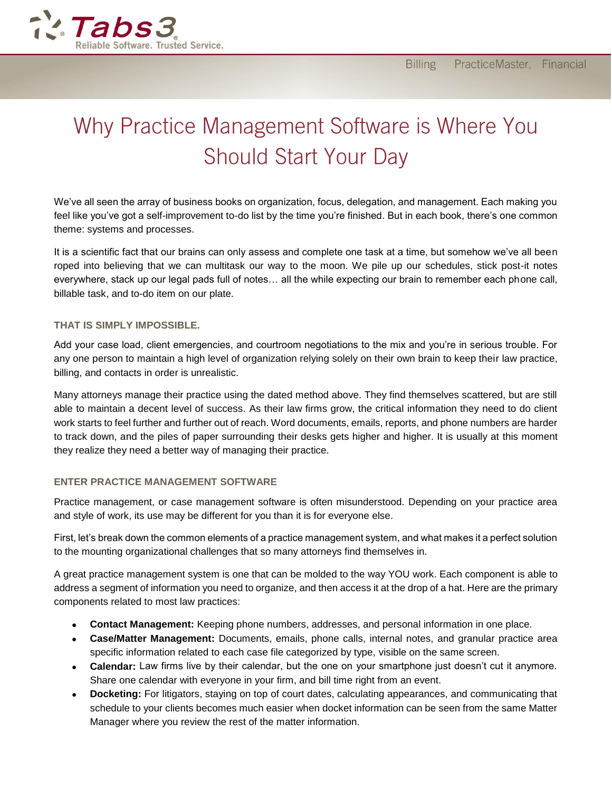

# Why Practice Management Software is Where You **Should Start Your Day**

We've all seen the array of business books on organization, focus, delegation, and management. Each making you feel like you've got a self-improvement to-do list by the time you're finished. But in each book, there's one common theme: systems and processes.

It is a scientific fact that our brains can only assess and complete one task at a time, but somehow we've all been roped into believing that we can multitask our way to the moon. We pile up our schedules, stick post-it notes everywhere, stack up our legal pads full of notes… all the while expecting our brain to remember each phone call, billable task, and to-do item on our plate.

#### **THAT IS SIMPLY IMPOSSIBLE.**

Add your case load, client emergencies, and courtroom negotiations to the mix and you're in serious trouble. For any one person to maintain a high level of organization relying solely on their own brain to keep their law practice, billing, and contacts in order is unrealistic.

Many attorneys manage their practice using the dated method above. They find themselves scattered, but are still able to maintain a decent level of success. As their law firms grow, the critical information they need to do client work starts to feel further and further out of reach. Word documents, emails, reports, and phone numbers are harder to track down, and the piles of paper surrounding their desks gets higher and higher. It is usually at this moment they realize they need a better way of managing their practice.

### **ENTER PRACTICE MANAGEMENT SOFTWARE**

Practice management, or case management software is often misunderstood. Depending on your practice area and style of work, its use may be different for you than it is for everyone else.

First, let's break down the common elements of a practice management system, and what makes it a perfect solution to the mounting organizational challenges that so many attorneys find themselves in.

A great practice management system is one that can be molded to the way YOU work. Each component is able to address a segment of information you need to organize, and then access it at the drop of a hat. Here are the primary components related to most law practices:

- **Contact Management:** Keeping phone numbers, addresses, and personal information in one place.
- **Case/Matter Management:** Documents, emails, phone calls, internal notes, and granular practice area specific information related to each case file categorized by type, visible on the same screen.
- **Calendar:** Law firms live by their calendar, but the one on your smartphone just doesn't cut it anymore. Share one calendar with everyone in your firm, and bill time right from an event.
- **Docketing:** For litigators, staying on top of court dates, calculating appearances, and communicating that schedule to your clients becomes much easier when docket information can be seen from the same Matter Manager where you review the rest of the matter information.